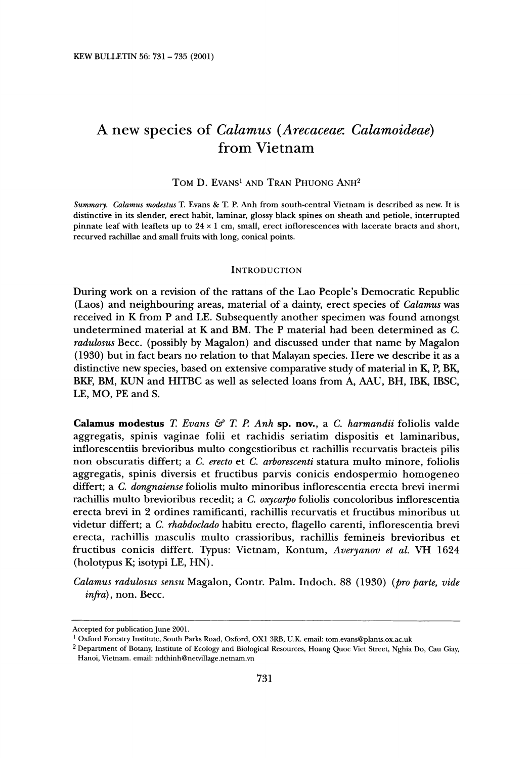# **A new species of Calamus (Arecaceae: Calamoideae) from Vietnam**

## **TOM D. EVANS' AND TRAN PHUONG ANH2**

**Summary. Calamus modestus T. Evans & T. P. Anh from south-central Vietnam is described as new. It is distinctive in its slender, erect habit, laminar, glossy black spines on sheath and petiole, interrupted pinnate leaf with leaflets up to 24 x 1 cm, small, erect inflorescences with lacerate bracts and short, recurved rachillae and small fruits with long, conical points.** 

#### **INTRODUCTION**

**During work on a revision of the rattans of the Lao People's Democratic Republic (Laos) and neighbouring areas, material of a dainty, erect species of Calamus was received in K from P and LE. Subsequently another specimen was found amongst undetermined material at K and BM. The P material had been determined as C. radulosus Becc. (possibly by Magalon) and discussed under that name by Magalon (1930) but in fact bears no relation to that Malayan species. Here we describe it as a distinctive new species, based on extensive comparative study of material in K, P, BK, BKF, BM, KUN and HITBC as well as selected loans from A, AAU, BH, IBK, IBSC, LE, MO, PE and S.** 

Calamus modestus T. Evans & T. P. Anh sp. nov., a C. harmandii foliolis valde **aggregatis, spinis vaginae folii et rachidis seriatim dispositis et laminaribus, inflorescentiis brevioribus multo congestioribus et rachillis recurvatis bracteis pilis non obscuratis differt; a C. erecto et C. arborescenti statura multo minore, foliolis aggregatis, spinis diversis et fructibus parvis conicis endospermio homogeneo differt; a C. dongnaiense foliolis multo minoribus inflorescentia erecta brevi inermi rachillis multo brevioribus recedit; a C. oxycarpo foliolis concoloribus inflorescentia erecta brevi in 2 ordines ramificanti, rachillis recurvatis et fructibus minoribus ut videtur differt; a C. rhabdoclado habitu erecto, flagello carenti, inflorescentia brevi erecta, rachillis masculis multo crassioribus, rachillis femineis brevioribus et fructibus conicis differt. Typus: Vietnam, Kontum, Averyanov et al. VH 1624 (holotypus K; isotypi LE, HN).** 

**Calamus radulosus sensu Magalon, Contr. Palm. Indoch. 88 (1930) (pro parte, vide infra), non. Becc.** 

**Accepted for publication June 2001.** 

**<sup>1</sup> Oxford Forestry Institute, South Parks Road, Oxford, OX1 3RB, U.K. email: tom.evans@plants.ox.ac.uk** 

**<sup>2</sup> Department of Botany, Institute of Ecology and Biological Resources, Hoang Quoc Viet Street, Nghia Do, Cau Giay, Hanoi, Vietnam. email: ndthinh@netvillage.netnam.vn**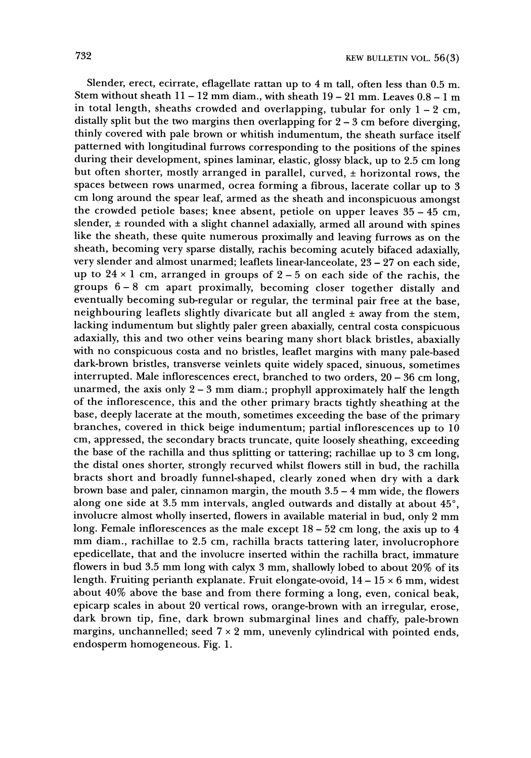**Slender, erect, ecirrate, eflagellate rattan up to 4 m tall, often less than 0.5 m. Stem without sheath 11 - 12 mm diam., with sheath 19 - 21 mm. Leaves 0.8 - 1 m in total length, sheaths crowded and overlapping, tubular for only 1 - 2 cm, distally split but the two margins then overlapping for 2 - 3 cm before diverging, thinly covered with pale brown or whitish indumentum, the sheath surface itself patterned with longitudinal furrows corresponding to the positions of the spines during their development, spines laminar, elastic, glossy black, up to 2.5 cm long**  but often shorter, mostly arranged in parallel, curved,  $\pm$  horizontal rows, the **spaces between rows unarmed, ocrea forming a fibrous, lacerate collar up to 3 cm long around the spear leaf, armed as the sheath and inconspicuous amongst the crowded petiole bases; knee absent, petiole on upper leaves 35 - 45 cm,**  slender, ± rounded with a slight channel adaxially, armed all around with spines **like the sheath, these quite numerous proximally and leaving furrows as on the sheath, becoming very sparse distally, rachis becoming acutely bifaced adaxially, very slender and almost unarmed; leaflets linear-lanceolate, 23 - 27 on each side,**  up to  $24 \times 1$  cm, arranged in groups of  $2 - 5$  on each side of the rachis, the **groups 6 - 8 cm apart proximally, becoming closer together distally and eventually becoming sub-regular or regular, the terminal pair free at the base, neighbouring leaflets slightly divaricate but all angled**  $\pm$  **away from the stem, lacking indumentum but slightly paler green abaxially, central costa conspicuous adaxially, this and two other veins bearing many short black bristles, abaxially with no conspicuous costa and no bristles, leaflet margins with many pale-based dark-brown bristles, transverse veinlets quite widely spaced, sinuous, sometimes interrupted. Male inflorescences erect, branched to two orders, 20 - 36 cm long, unarmed, the axis only 2 - 3 mm diam.; prophyll approximately half the length of the inflorescence, this and the other primary bracts tightly sheathing at the base, deeply lacerate at the mouth, sometimes exceeding the base of the primary branches, covered in thick beige indumentum; partial inflorescences up to 10 cm, appressed, the secondary bracts truncate, quite loosely sheathing, exceeding the base of the rachilla and thus splitting or tattering; rachillae up to 3 cm long, the distal ones shorter, strongly recurved whilst flowers still in bud, the rachilla bracts short and broadly funnel-shaped, clearly zoned when dry with a dark brown base and paler, cinnamon margin, the mouth 3.5 - 4 mm wide, the flowers**  along one side at 3.5 mm intervals, angled outwards and distally at about 45°, **involucre almost wholly inserted, flowers in available material in bud, only 2 mm long. Female inflorescences as the male except 18 - 52 cm long, the axis up to 4 mm diam., rachillae to 2.5 cm, rachilla bracts tattering later, involucrophore epedicellate, that and the involucre inserted within the rachilla bract, immature flowers in bud 3.5 mm long with calyx 3 mm, shallowly lobed to about 20% of its length. Fruiting perianth explanate. Fruit elongate-ovoid, 14 - 15 x 6 mm, widest about 40% above the base and from there forming a long, even, conical beak, epicarp scales in about 20 vertical rows, orange-brown with an irregular, erose, dark brown tip, fine, dark brown submarginal lines and chaffy, pale-brown margins, unchannelled; seed 7 x 2 mm, unevenly cylindrical with pointed ends, endosperm homogeneous. Fig. 1.**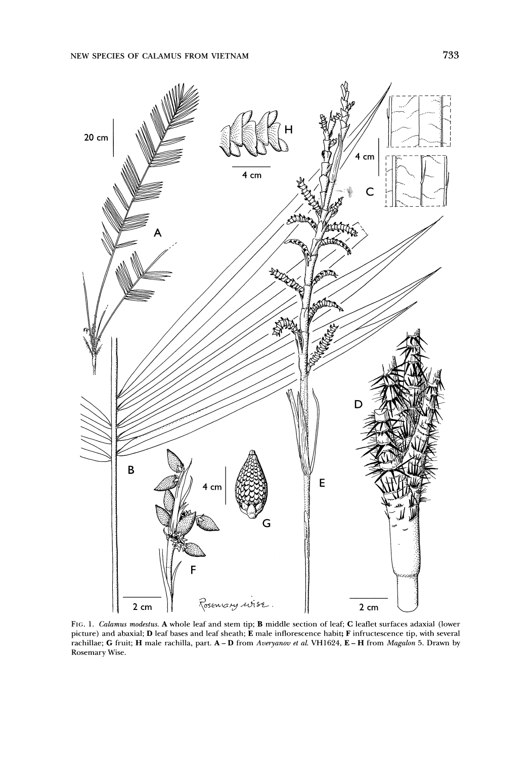

**FIG. 1. Calamus modestus. A whole leaf and stem tip; B middle section of leaf; C leaflet surfaces adaxial (lower picture) and abaxial; D leaf bases and leaf sheath; E male inflorescence habit; F infructescence tip, with several rachillae; G fruit; H male rachilla, part. A - D from Averyanov et al. VH1624, E - H from Magalon 5. Drawn by Rosemary Wise.**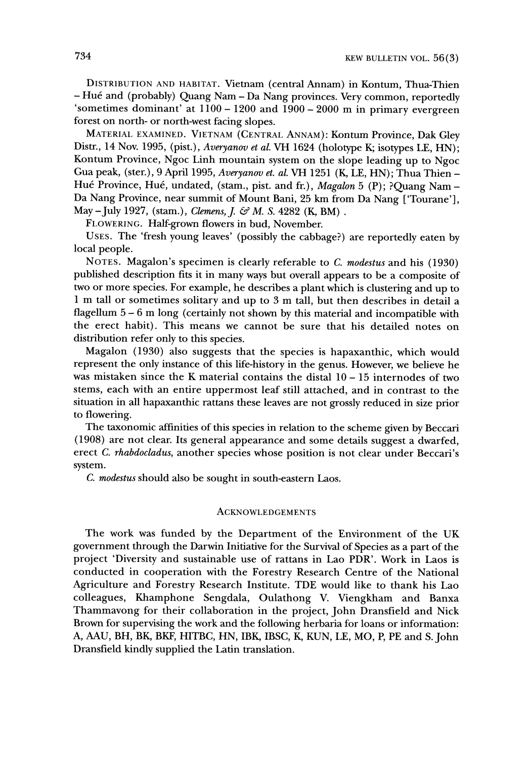**DISTRIBUTION AND HABITAT. Vietnam (central Annam) in Kontum, Thua-Thien - Hue and (probably) Quang Nam - Da Nang provinces. Very common, reportedly 'sometimes dominant' at 1100 - 1200 and 1900 - 2000 m in primary evergreen forest on north- or north-west facing slopes.** 

**MATERIAL EXAMINED. VIETNAM (CENTRAL ANNAM): Kontum Province, Dak Gley Distr., 14 Nov. 1995, (pist.), Averyanov et al. VH 1624 (holotype K; isotypes LE, HN); Kontum Province, Ngoc Linh mountain system on the slope leading up to Ngoc Gua peak, (ster.), 9 April 1995, Averyanov et. al. VH 1251 (K, LE, HN); Thua Thien -**  Hué Province, Hué, undated, (stam., pist. and fr.), *Magalon* 5 (P); ?Quang Nam -**Da Nang Province, near summit of Mount Bani, 25 km from Da Nang ['Tourane'],**  May – July 1927, (stam.), *Clemens, J. & M. S.* 4282 (K, BM).

**FLOWERING. Half-grown flowers in bud, November.** 

**USES. The 'fresh young leaves' (possibly the cabbage?) are reportedly eaten by local people.** 

**NOTES. Magalon's specimen is clearly referable to C. modestus and his (1930) published description fits it in many ways but overall appears to be a composite of two or more species. For example, he describes a plant which is clustering and up to 1 m tall or sometimes solitary and up to 3 m tall, but then describes in detail a flagellum 5 - 6 m long (certainly not shown by this material and incompatible with the erect habit). This means we cannot be sure that his detailed notes on distribution refer only to this species.** 

**Magalon (1930) also suggests that the species is hapaxanthic, which would represent the only instance of this life-history in the genus. However, we believe he was mistaken since the K material contains the distal 10 - 15 internodes of two stems, each with an entire uppermost leaf still attached, and in contrast to the situation in all hapaxanthic rattans these leaves are not grossly reduced in size prior to flowering.** 

**The taxonomic affinities of this species in relation to the scheme given by Beccari (1908) are not clear. Its general appearance and some details suggest a dwarfed, erect C. rhabdocladus, another species whose position is not clear under Beccari's system.** 

**C. modestus should also be sought in south-eastern Laos.** 

### **ACKNOWLEDGEMENTS**

**The work was funded by the Department of the Environment of the UK government through the Darwin Initiative for the Survival of Species as a part of the project 'Diversity and sustainable use of rattans in Lao PDR'. Work in Laos is conducted in cooperation with the Forestry Research Centre of the National Agriculture and Forestry Research Institute. TDE would like to thank his Lao colleagues, Khamphone Sengdala, Oulathong V. Viengkham and Banxa Thammavong for their collaboration in the project, John Dransfield and Nick Brown for supervising the work and the following herbaria for loans or information: A, AAU, BH, BK, BKF, HITBC, HN, IBK, IBSC, K, KUN, LE, MO, P, PE and S. John Dransfield kindly supplied the Latin translation.**